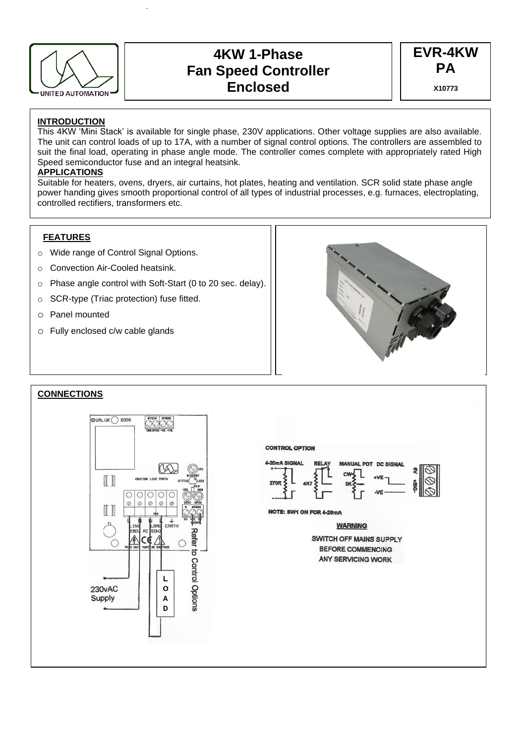

# **4KW 1-Phase Fan Speed Controller Enclosed**

**EVR-4KW PA X10773**

## **INTRODUCTION**

This 4KW 'Mini Stack' is available for single phase, 230V applications. Other voltage supplies are also available. The unit can control loads of up to 17A, with a number of signal control options. The controllers are assembled to suit the final load, operating in phase angle mode. The controller comes complete with appropriately rated High Speed semiconductor fuse and an integral heatsink.

# **APPLICATIONS**

Suitable for heaters, ovens, dryers, air curtains, hot plates, heating and ventilation. SCR solid state phase angle power handing gives smooth proportional control of all types of industrial processes, e.g. furnaces, electroplating, controlled rectifiers, transformers etc.

## **FEATURES**

- o Wide range of Control Signal Options.
- o Convection Air-Cooled heatsink.
- o Phase angle control with Soft-Start (0 to 20 sec. delay).
- o SCR-type (Triac protection) fuse fitted.
- o Panel mounted
- o Fully enclosed c/w cable glands



### **CONNECTIONS**



#### **CONTROL OPTION**



NOTE: SW1 ON FOR 4-20mA

**WARNING** 

**SWITCH OFF MAINS SUPPLY BEFORE COMMENCING ANY SERVICING WORK**